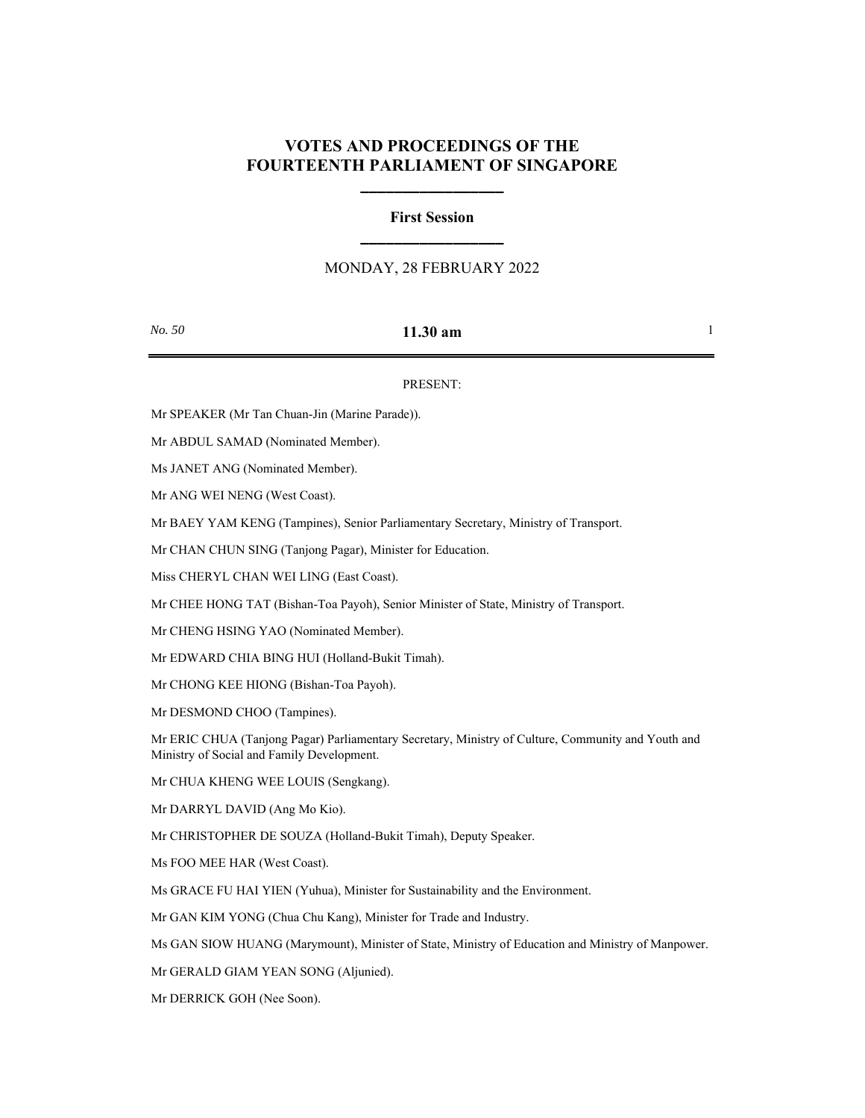## **VOTES AND PROCEEDINGS OF THE FOURTEENTH PARLIAMENT OF SINGAPORE**

**\_\_\_\_\_\_\_\_\_\_\_\_\_\_\_\_\_**

# **First Session \_\_\_\_\_\_\_\_\_\_\_\_\_\_\_\_\_**

### MONDAY, 28 FEBRUARY 2022

### *No. 50* **11.30 am** 1

#### PRESENT:

Mr SPEAKER (Mr Tan Chuan-Jin (Marine Parade)).

Mr ABDUL SAMAD (Nominated Member).

Ms JANET ANG (Nominated Member).

Mr ANG WEI NENG (West Coast).

Mr BAEY YAM KENG (Tampines), Senior Parliamentary Secretary, Ministry of Transport.

Mr CHAN CHUN SING (Tanjong Pagar), Minister for Education.

Miss CHERYL CHAN WEI LING (East Coast).

Mr CHEE HONG TAT (Bishan-Toa Payoh), Senior Minister of State, Ministry of Transport.

Mr CHENG HSING YAO (Nominated Member).

Mr EDWARD CHIA BING HUI (Holland-Bukit Timah).

Mr CHONG KEE HIONG (Bishan-Toa Payoh).

Mr DESMOND CHOO (Tampines).

Mr ERIC CHUA (Tanjong Pagar) Parliamentary Secretary, Ministry of Culture, Community and Youth and Ministry of Social and Family Development.

Mr CHUA KHENG WEE LOUIS (Sengkang).

Mr DARRYL DAVID (Ang Mo Kio).

Mr CHRISTOPHER DE SOUZA (Holland-Bukit Timah), Deputy Speaker.

Ms FOO MEE HAR (West Coast).

Ms GRACE FU HAI YIEN (Yuhua), Minister for Sustainability and the Environment.

Mr GAN KIM YONG (Chua Chu Kang), Minister for Trade and Industry.

Ms GAN SIOW HUANG (Marymount), Minister of State, Ministry of Education and Ministry of Manpower.

Mr GERALD GIAM YEAN SONG (Aljunied).

Mr DERRICK GOH (Nee Soon).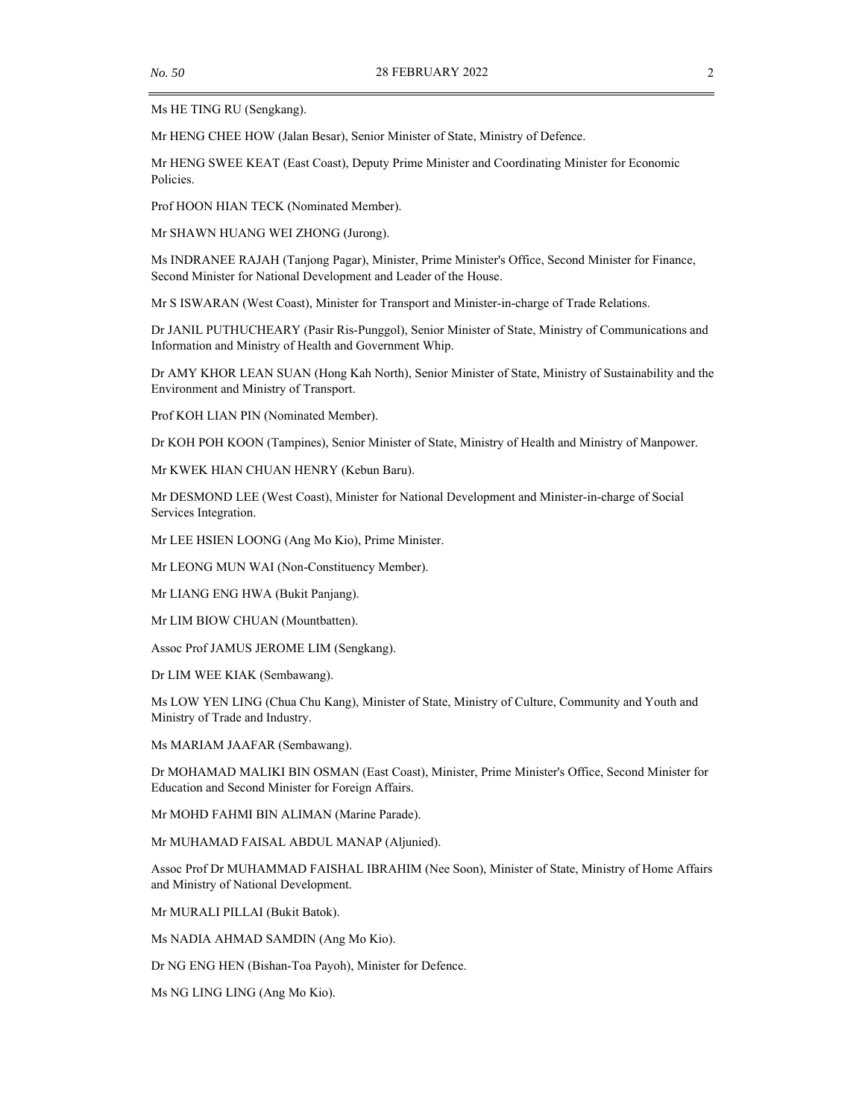Ms HE TING RU (Sengkang).

Mr HENG CHEE HOW (Jalan Besar), Senior Minister of State, Ministry of Defence.

Mr HENG SWEE KEAT (East Coast), Deputy Prime Minister and Coordinating Minister for Economic Policies.

Prof HOON HIAN TECK (Nominated Member).

Mr SHAWN HUANG WEI ZHONG (Jurong).

Ms INDRANEE RAJAH (Tanjong Pagar), Minister, Prime Minister's Office, Second Minister for Finance, Second Minister for National Development and Leader of the House.

Mr S ISWARAN (West Coast), Minister for Transport and Minister-in-charge of Trade Relations.

Dr JANIL PUTHUCHEARY (Pasir Ris-Punggol), Senior Minister of State, Ministry of Communications and Information and Ministry of Health and Government Whip.

Dr AMY KHOR LEAN SUAN (Hong Kah North), Senior Minister of State, Ministry of Sustainability and the Environment and Ministry of Transport.

Prof KOH LIAN PIN (Nominated Member).

Dr KOH POH KOON (Tampines), Senior Minister of State, Ministry of Health and Ministry of Manpower.

Mr KWEK HIAN CHUAN HENRY (Kebun Baru).

Mr DESMOND LEE (West Coast), Minister for National Development and Minister-in-charge of Social Services Integration.

Mr LEE HSIEN LOONG (Ang Mo Kio), Prime Minister.

Mr LEONG MUN WAI (Non-Constituency Member).

Mr LIANG ENG HWA (Bukit Panjang).

Mr LIM BIOW CHUAN (Mountbatten).

Assoc Prof JAMUS JEROME LIM (Sengkang).

Dr LIM WEE KIAK (Sembawang).

Ms LOW YEN LING (Chua Chu Kang), Minister of State, Ministry of Culture, Community and Youth and Ministry of Trade and Industry.

Ms MARIAM JAAFAR (Sembawang).

Dr MOHAMAD MALIKI BIN OSMAN (East Coast), Minister, Prime Minister's Office, Second Minister for Education and Second Minister for Foreign Affairs.

Mr MOHD FAHMI BIN ALIMAN (Marine Parade).

Mr MUHAMAD FAISAL ABDUL MANAP (Aljunied).

Assoc Prof Dr MUHAMMAD FAISHAL IBRAHIM (Nee Soon), Minister of State, Ministry of Home Affairs and Ministry of National Development.

Mr MURALI PILLAI (Bukit Batok).

Ms NADIA AHMAD SAMDIN (Ang Mo Kio).

Dr NG ENG HEN (Bishan-Toa Payoh), Minister for Defence.

Ms NG LING LING (Ang Mo Kio).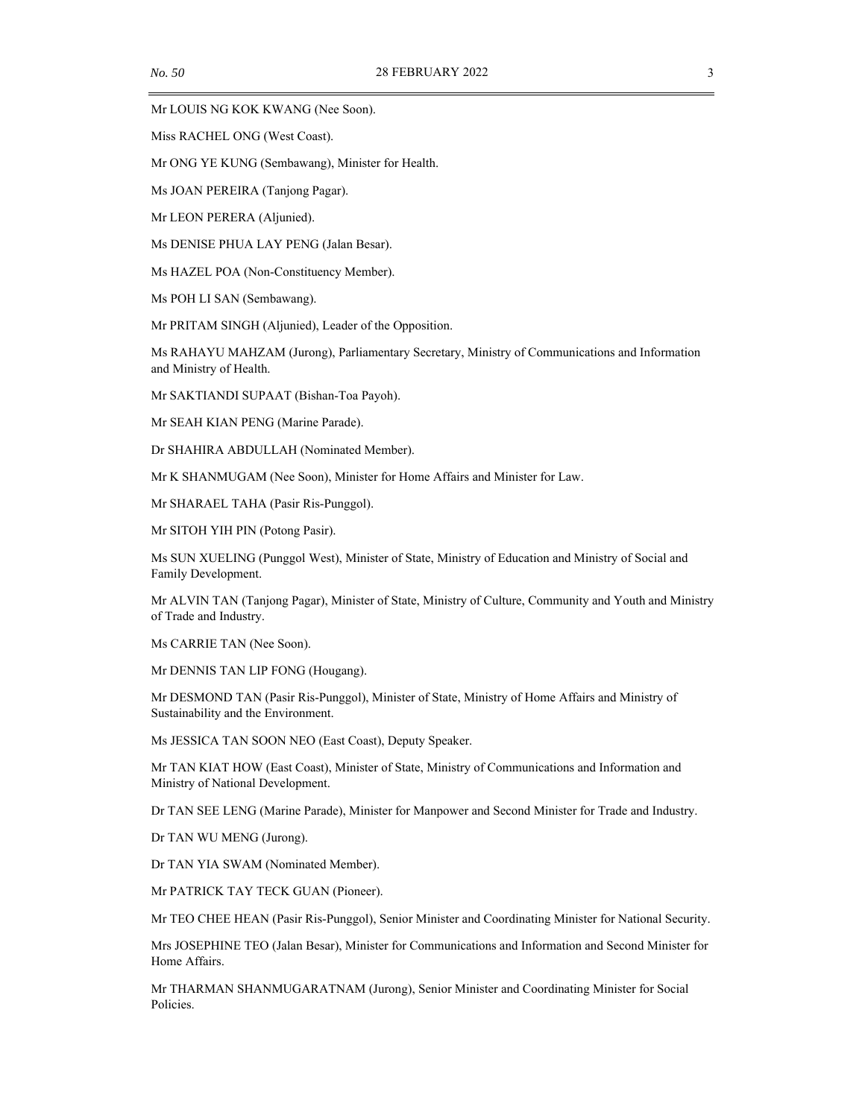Mr LOUIS NG KOK KWANG (Nee Soon).

Miss RACHEL ONG (West Coast).

Mr ONG YE KUNG (Sembawang), Minister for Health.

Ms JOAN PEREIRA (Tanjong Pagar).

Mr LEON PERERA (Aljunied).

Ms DENISE PHUA LAY PENG (Jalan Besar).

Ms HAZEL POA (Non-Constituency Member).

Ms POH LI SAN (Sembawang).

Mr PRITAM SINGH (Aljunied), Leader of the Opposition.

Ms RAHAYU MAHZAM (Jurong), Parliamentary Secretary, Ministry of Communications and Information and Ministry of Health.

Mr SAKTIANDI SUPAAT (Bishan-Toa Payoh).

Mr SEAH KIAN PENG (Marine Parade).

Dr SHAHIRA ABDULLAH (Nominated Member).

Mr K SHANMUGAM (Nee Soon), Minister for Home Affairs and Minister for Law.

Mr SHARAEL TAHA (Pasir Ris-Punggol).

Mr SITOH YIH PIN (Potong Pasir).

Ms SUN XUELING (Punggol West), Minister of State, Ministry of Education and Ministry of Social and Family Development.

Mr ALVIN TAN (Tanjong Pagar), Minister of State, Ministry of Culture, Community and Youth and Ministry of Trade and Industry.

Ms CARRIE TAN (Nee Soon).

Mr DENNIS TAN LIP FONG (Hougang).

Mr DESMOND TAN (Pasir Ris-Punggol), Minister of State, Ministry of Home Affairs and Ministry of Sustainability and the Environment.

Ms JESSICA TAN SOON NEO (East Coast), Deputy Speaker.

Mr TAN KIAT HOW (East Coast), Minister of State, Ministry of Communications and Information and Ministry of National Development.

Dr TAN SEE LENG (Marine Parade), Minister for Manpower and Second Minister for Trade and Industry.

Dr TAN WU MENG (Jurong).

Dr TAN YIA SWAM (Nominated Member).

Mr PATRICK TAY TECK GUAN (Pioneer).

Mr TEO CHEE HEAN (Pasir Ris-Punggol), Senior Minister and Coordinating Minister for National Security.

Mrs JOSEPHINE TEO (Jalan Besar), Minister for Communications and Information and Second Minister for Home Affairs.

Mr THARMAN SHANMUGARATNAM (Jurong), Senior Minister and Coordinating Minister for Social Policies.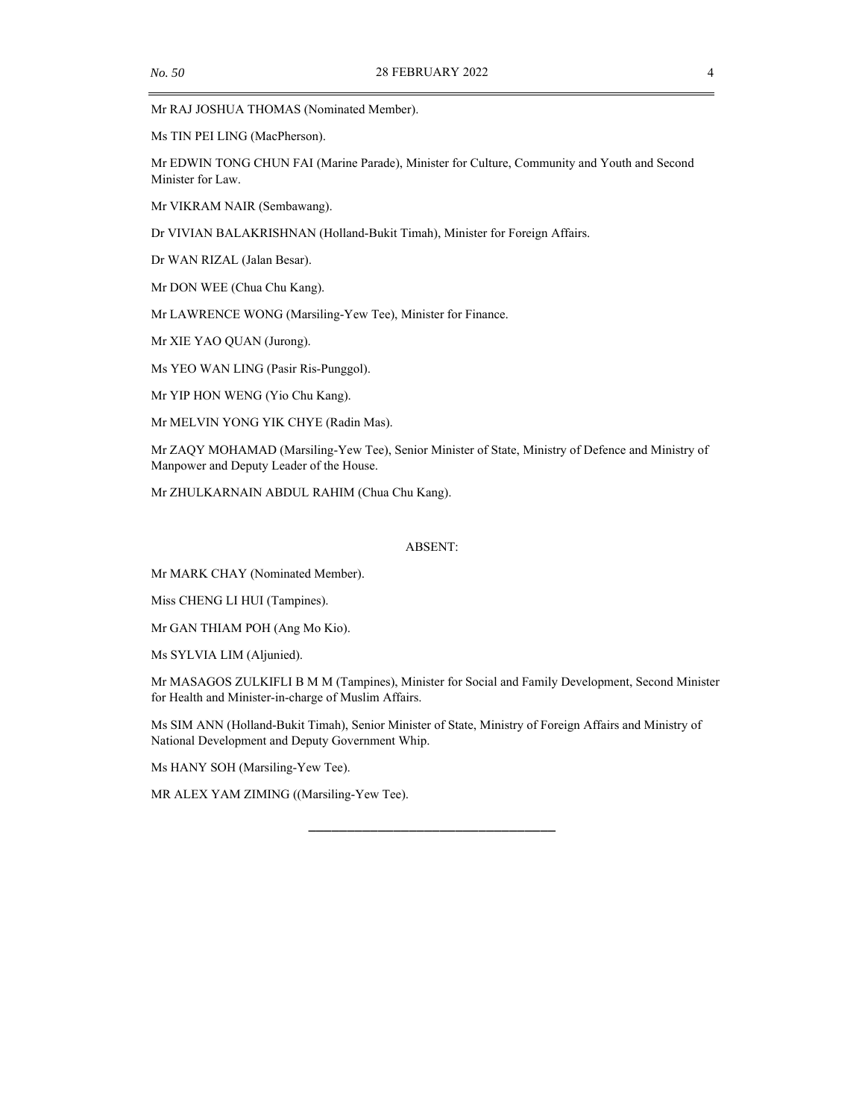Mr RAJ JOSHUA THOMAS (Nominated Member).

Ms TIN PEI LING (MacPherson).

Mr EDWIN TONG CHUN FAI (Marine Parade), Minister for Culture, Community and Youth and Second Minister for Law.

Mr VIKRAM NAIR (Sembawang).

Dr VIVIAN BALAKRISHNAN (Holland-Bukit Timah), Minister for Foreign Affairs.

Dr WAN RIZAL (Jalan Besar).

Mr DON WEE (Chua Chu Kang).

Mr LAWRENCE WONG (Marsiling-Yew Tee), Minister for Finance.

Mr XIE YAO QUAN (Jurong).

Ms YEO WAN LING (Pasir Ris-Punggol).

Mr YIP HON WENG (Yio Chu Kang).

Mr MELVIN YONG YIK CHYE (Radin Mas).

Mr ZAQY MOHAMAD (Marsiling-Yew Tee), Senior Minister of State, Ministry of Defence and Ministry of Manpower and Deputy Leader of the House.

Mr ZHULKARNAIN ABDUL RAHIM (Chua Chu Kang).

#### ABSENT:

Mr MARK CHAY (Nominated Member).

Miss CHENG LI HUI (Tampines).

Mr GAN THIAM POH (Ang Mo Kio).

Ms SYLVIA LIM (Aljunied).

Mr MASAGOS ZULKIFLI B M M (Tampines), Minister for Social and Family Development, Second Minister for Health and Minister-in-charge of Muslim Affairs.

\_\_\_\_\_\_\_\_\_\_\_\_\_\_\_\_\_\_\_\_\_\_\_\_\_\_\_\_\_\_\_\_

Ms SIM ANN (Holland-Bukit Timah), Senior Minister of State, Ministry of Foreign Affairs and Ministry of National Development and Deputy Government Whip.

Ms HANY SOH (Marsiling-Yew Tee).

MR ALEX YAM ZIMING ((Marsiling-Yew Tee).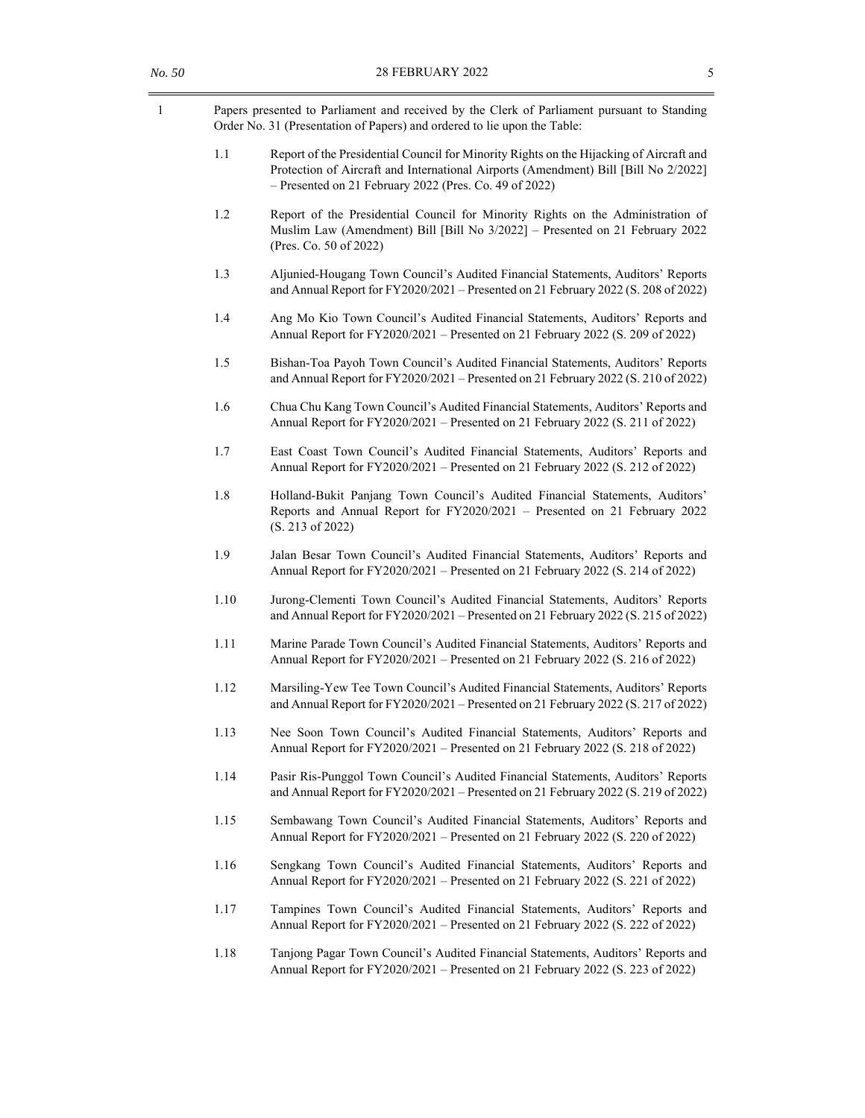| Papers presented to Parliament and received by the Clerk of Parliament pursuant to Standing |
|---------------------------------------------------------------------------------------------|
| Order No. 31 (Presentation of Papers) and ordered to lie upon the Table:                    |

- 1.1 Report of the Presidential Council for Minority Rights on the Hijacking of Aircraft and Protection of Aircraft and International Airports (Amendment) Bill [Bill No 2/2022] – Presented on 21 February 2022 (Pres. Co. 49 of 2022)
- 1.2 Report of the Presidential Council for Minority Rights on the Administration of Muslim Law (Amendment) Bill [Bill No 3/2022] – Presented on 21 February 2022 (Pres. Co. 50 of 2022)
- 1.3 Aljunied-Hougang Town Council's Audited Financial Statements, Auditors' Reports and Annual Report for FY2020/2021 – Presented on 21 February 2022 (S. 208 of 2022)
- 1.4 Ang Mo Kio Town Council's Audited Financial Statements, Auditors' Reports and Annual Report for FY2020/2021 – Presented on 21 February 2022 (S. 209 of 2022)
- 1.5 Bishan-Toa Payoh Town Council's Audited Financial Statements, Auditors' Reports and Annual Report for FY2020/2021 – Presented on 21 February 2022 (S. 210 of 2022)
- 1.6 Chua Chu Kang Town Council's Audited Financial Statements, Auditors' Reports and Annual Report for FY2020/2021 – Presented on 21 February 2022 (S. 211 of 2022)
- 1.7 East Coast Town Council's Audited Financial Statements, Auditors' Reports and Annual Report for FY2020/2021 – Presented on 21 February 2022 (S. 212 of 2022)
- 1.8 Holland-Bukit Panjang Town Council's Audited Financial Statements, Auditors' Reports and Annual Report for FY2020/2021 – Presented on 21 February 2022 (S. 213 of 2022)
- 1.9 Jalan Besar Town Council's Audited Financial Statements, Auditors' Reports and Annual Report for FY2020/2021 – Presented on 21 February 2022 (S. 214 of 2022)
- 1.10 Jurong-Clementi Town Council's Audited Financial Statements, Auditors' Reports and Annual Report for FY2020/2021 – Presented on 21 February 2022 (S. 215 of 2022)
- 1.11 Marine Parade Town Council's Audited Financial Statements, Auditors' Reports and Annual Report for FY2020/2021 – Presented on 21 February 2022 (S. 216 of 2022)
- 1.12 Marsiling-Yew Tee Town Council's Audited Financial Statements, Auditors' Reports and Annual Report for FY2020/2021 – Presented on 21 February 2022 (S. 217 of 2022)
- 1.13 Nee Soon Town Council's Audited Financial Statements, Auditors' Reports and Annual Report for FY2020/2021 – Presented on 21 February 2022 (S. 218 of 2022)
- 1.14 Pasir Ris-Punggol Town Council's Audited Financial Statements, Auditors' Reports and Annual Report for FY2020/2021 – Presented on 21 February 2022 (S. 219 of 2022)
- 1.15 Sembawang Town Council's Audited Financial Statements, Auditors' Reports and Annual Report for FY2020/2021 – Presented on 21 February 2022 (S. 220 of 2022)
- 1.16 Sengkang Town Council's Audited Financial Statements, Auditors' Reports and Annual Report for FY2020/2021 – Presented on 21 February 2022 (S. 221 of 2022)
- 1.17 Tampines Town Council's Audited Financial Statements, Auditors' Reports and Annual Report for FY2020/2021 – Presented on 21 February 2022 (S. 222 of 2022)
- 1.18 Tanjong Pagar Town Council's Audited Financial Statements, Auditors' Reports and Annual Report for FY2020/2021 – Presented on 21 February 2022 (S. 223 of 2022)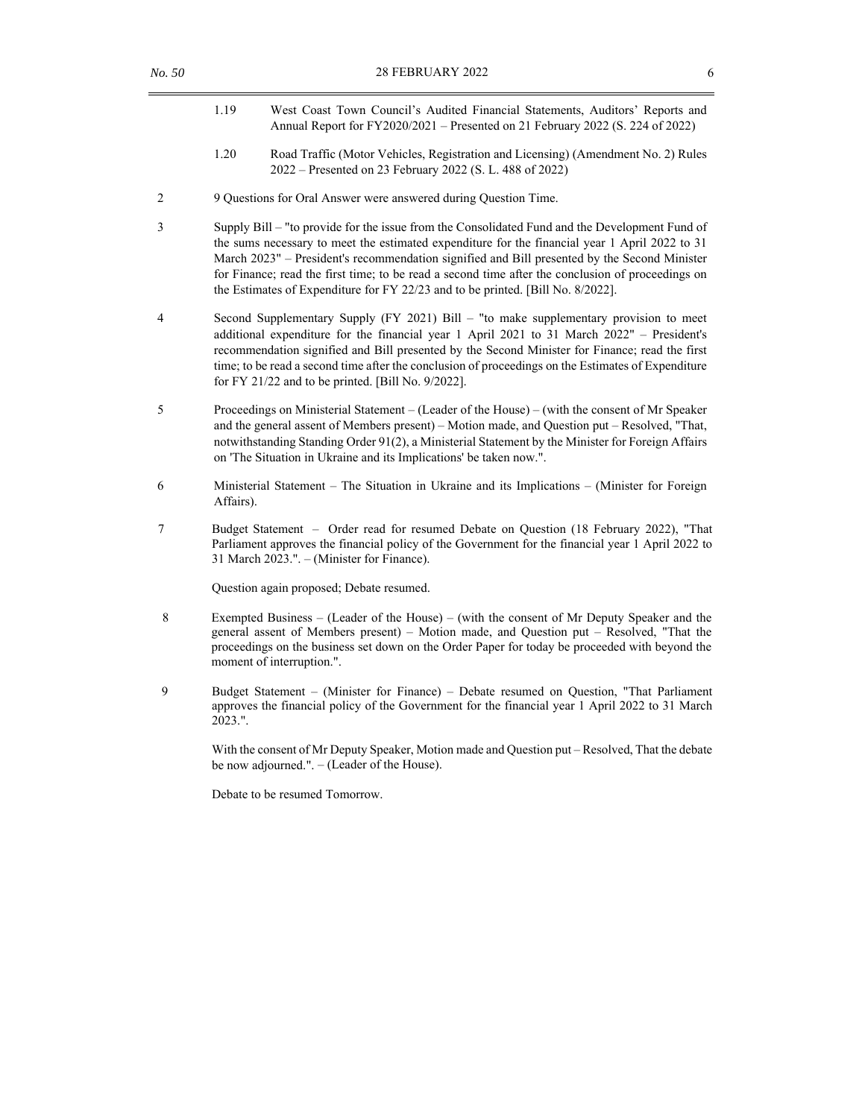- 1.19 West Coast Town Council's Audited Financial Statements, Auditors' Reports and Annual Report for FY2020/2021 – Presented on 21 February 2022 (S. 224 of 2022)
- 1.20 Road Traffic (Motor Vehicles, Registration and Licensing) (Amendment No. 2) Rules 2022 – Presented on 23 February 2022 (S. L. 488 of 2022)
- 2 9 Questions for Oral Answer were answered during Question Time.
- 3 Supply Bill "to provide for the issue from the Consolidated Fund and the Development Fund of the sums necessary to meet the estimated expenditure for the financial year 1 April 2022 to 31 March 2023" – President's recommendation signified and Bill presented by the Second Minister for Finance; read the first time; to be read a second time after the conclusion of proceedings on the Estimates of Expenditure for FY 22/23 and to be printed. [Bill No. 8/2022].
- 4 Second Supplementary Supply (FY 2021) Bill "to make supplementary provision to meet additional expenditure for the financial year 1 April 2021 to 31 March 2022" – President's recommendation signified and Bill presented by the Second Minister for Finance; read the first time; to be read a second time after the conclusion of proceedings on the Estimates of Expenditure for FY 21/22 and to be printed. [Bill No. 9/2022].
- 5 Proceedings on Ministerial Statement (Leader of the House) (with the consent of Mr Speaker and the general assent of Members present) – Motion made, and Question put – Resolved, "That, notwithstanding Standing Order 91(2), a Ministerial Statement by the Minister for Foreign Affairs on 'The Situation in Ukraine and its Implications' be taken now.".
- 6 Ministerial Statement The Situation in Ukraine and its Implications (Minister for Foreign Affairs).
- 7 Budget Statement Order read for resumed Debate on Question (18 February 2022), "That Parliament approves the financial policy of the Government for the financial year 1 April 2022 to 31 March 2023.". – (Minister for Finance).

Question again proposed; Debate resumed.

- 8 Exempted Business (Leader of the House) (with the consent of Mr Deputy Speaker and the general assent of Members present) – Motion made, and Question put – Resolved, "That the proceedings on the business set down on the Order Paper for today be proceeded with beyond the moment of interruption.".
- 9 Budget Statement (Minister for Finance) Debate resumed on Question, "That Parliament approves the financial policy of the Government for the financial year 1 April 2022 to 31 March 2023.".

With the consent of Mr Deputy Speaker, Motion made and Question put – Resolved, That the debate be now adjourned.". – (Leader of the House).

Debate to be resumed Tomorrow.